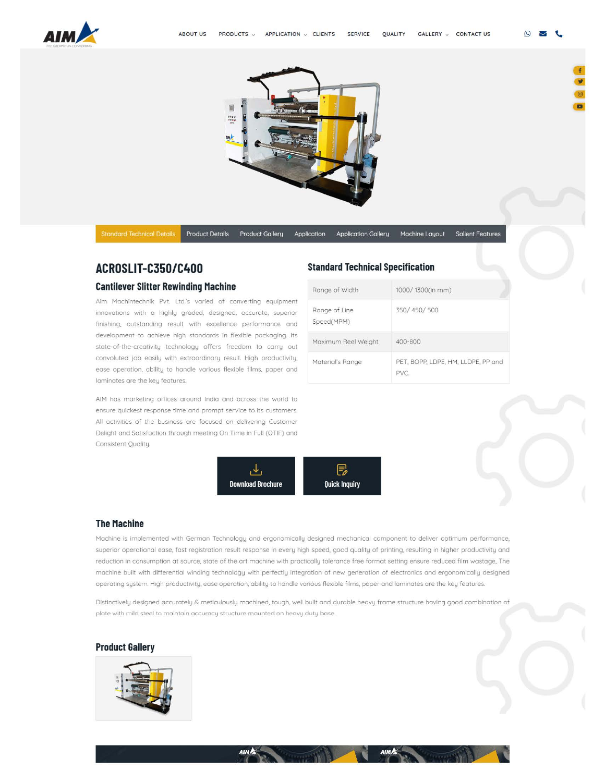



Product Details Product Gallery Application Application Gallery Machine Layout Salient Features

 $\odot$ 

# **ACROSLIT -C350/C400**

#### **Cantilever Slitter Rewinding Machine**

[Aim Mochintechnik Pvt. Ltd.'s varied of converting equipment](https://www.aimflex.com/cantilever_slitter_rewinding_machine_c350_400.html)  innovations with a highly graded, designed, accurate, superior finishing, outstanding result with excellence performance and development to achieve high standards in flexible packaging. Its state-of-the-creativity technology offers freedom to corry out convoluted job easily with extraordinary result. High productivity, ease operation, ability to handle various flexible films, paper and laminates ore the key features.

AIM has marketing offices around Indio and across the world to ensure quickest response time and prompt service to its customers. All activities of the business ore focused on delivering Customer Delight and Satisfaction through meeting On Time in Full (OTIF) and Consistent Quality.



### **The Machine**

Machine is implemented with German Technology and ergonomically designed mechanical component to deliver optimum performance. superior operational ease. fast registration result response in every high speed, good quality of printing, resulting in higher productivity and reduction in consumption at source. state of the art machine with practically tolerance free format setting ensure reduced film wastage. The [machine built with differential winding technology with perfectly integration of new generation of electronics and ergonomically designed](https://www.aimflex.com/cantilever_slitter_rewinding_machine_c350_400.html)  operating system. High productivity. ease operation. ability to handle various flexible films, paper and laminates ore the key features.

Distinctively designed accurately & meticulously machined. tough. wei built and durable heavy frame structure having good combination of **plate with mild steel to maintain accuracy structure mounted on heavy duty bose.** 

#### **[Product Gallery](https://www.aimflex.com/cantilever_slitter_rewinding_machine_c350_400.html)**



# **[Standard Technical Specification](https://www.aimflex.com/)**

| Range of Width              | 1000/1300(in mm)                   |
|-----------------------------|------------------------------------|
| Range of Line<br>Speed(MPM) | 350/450/500                        |
| Maximum Reel Weight         | 400-800                            |
| Material's Range            | PET, BOPP, LDPE, HM, LLDPE, PP and |

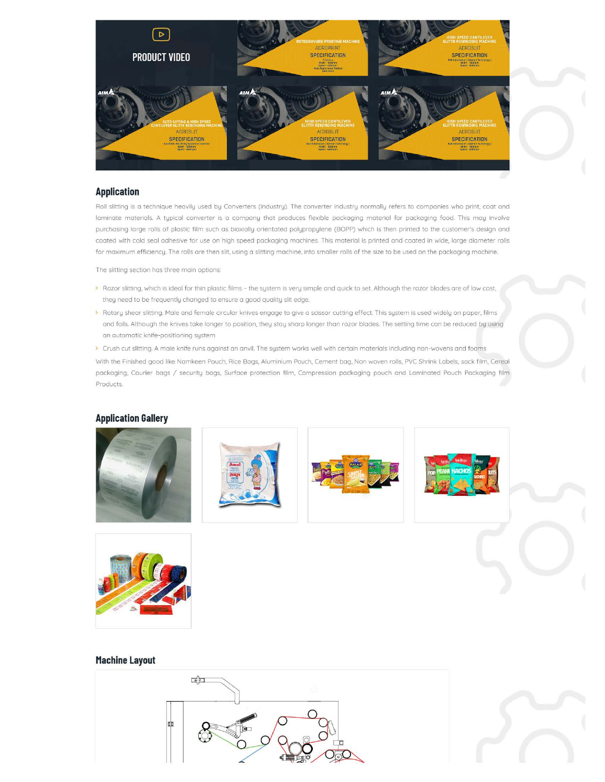

### **Application**

Roll slitting is a technique heavily used by Converters (industry). The converter industry normally refers to companies who print. coat and laminate materials. A typical converter is o company that produces flexible packaging material for packaging food. This may involve [purchasing large rolls of plastic film such as biaxially orientated polypropylene \(BOPP\) which is then printed to the customer's design and](http://www.aimflex.com/application.html)  coated with cold seal adhesive for use on high speed packaging machines. This material is printed and coated in wide. large diameter rolls for maximum efficiency. The rolls are then slit, using a slitting machine. into smaller rolls of the size to be used on the packaging machine.

The slitting section has three main options:

- > Razor slitting, which is ideal for thin plastic films the system is very simple and quick to set. Although the razor blades are of low cost, they need to be frequently changed to ensure a good quality slit edge.
- > Rotary shear slitting. Male and female circular knives engage to give a scissor cutting effect. This system is used widely on paper. films and foils. Although the knives take longer to position. they stay sharp longer than razor blades. The setting time can be reduced by using an automatic knife-positioning system
- > Crush cut slitting. A male knife runs against an anvil. The system works well with certain materials including non-wovens and foams With the Finished good like Namkeen Pouch. Rice Bags, Aluminium Pouch. Cement bag, Non woven rolls. PVC Shrink Labels. sack film, Cereal packaging, Courier bags / security bags, Surface protection film, Compression packaging pouch and Laminated Pouch Packaging film Products.

## **[Application Gallery](http://www.aimflex.com/application.html)**











### **[Machine Layout](https://www.aimflex.com/cantilever_slitter_rewinding_machine_c350_400.html)**



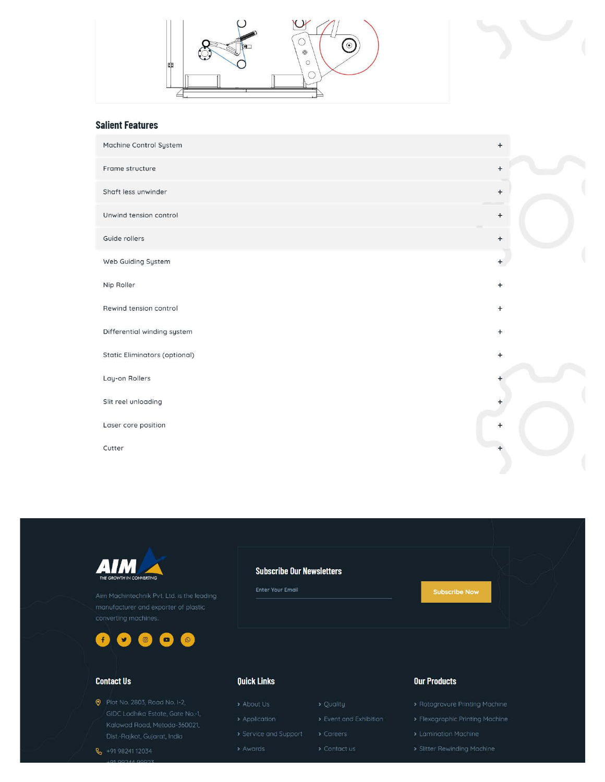



| $+$                              |
|----------------------------------|
| $\boldsymbol{+}$                 |
| $\begin{array}{c} + \end{array}$ |
| $+$                              |
| $+$                              |
| $+$                              |
| $+$                              |
| $+$                              |
| $+$                              |
| $+$                              |
|                                  |
| +                                |
| $+$                              |
| $+$                              |
|                                  |





# **Contact Us**

 $\frac{1}{2}$  +91 98241 12034

**9** Plot No. 2803, Road No. I-2,

## **Subscribe Our Newsletters**

Enter Your Email

# **Ouick Links**

- 
- -

- -

# **Our Products**

- 
- 
- 
-